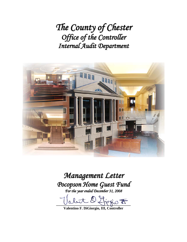*The County of Chester Office of the Controller Internal Audit Department*



# *Management Letter Pocopson Home Guest Fund*

*For the year ended December 31, 2008*

 $D$  Liegio  $\overline{E}$ 

**Valentino F. DiGiorgio, III, Controller**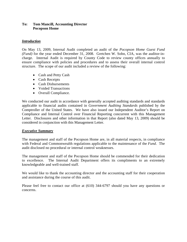#### **To: Tom Mancill, Accounting Director Pocopson Home**

# *Introduction*

On May 13, 2009, Internal Audit completed an audit of the *Pocopson Home Guest Fund (Fund)* for the year ended December 31, 2008. Gretchen W. Sohn, CIA, was the auditor-incharge. Internal Audit is required by County Code to review county offices annually to ensure compliance with policies and procedures and to assess their overall internal control structure. The scope of our audit included a review of the following:

- Cash and Petty Cash
- Cash Receipts
- Cash Disbursements
- Voided Transactions
- Overall Compliance.

We conducted our audit in accordance with generally accepted auditing standards and standards applicable to financial audits contained in *Government Auditing Standards* published by the Comptroller of the United States. We have also issued our Independent Auditor's Report on Compliance and Internal Control over Financial Reporting concurrent with this Management Letter. Disclosures and other information in that Report (also dated May 13, 2009) should be considered in conjunction with this Management Letter.

# *Executive Summary*

The management and staff of the Pocopson Home are, in all material respects, in compliance with Federal and Commonwealth regulations applicable to the maintenance of the *Fund*. The audit disclosed no procedural or internal control weaknesses.

The management and staff of the Pocopson Home should be commended for their dedication to excellence. The Internal Audit Department offers its compliments to an extremely knowledgeable and well-trained staff.

We would like to thank the accounting director and the accounting staff for their cooperation and assistance during the course of this audit.

Please feel free to contact our office at (610) 344-6797 should you have any questions or concerns.